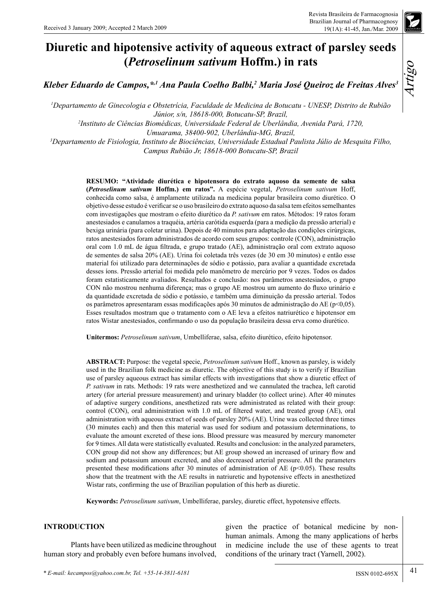

*Kleber Eduardo de Campos,\*,1 Ana Paula Coelho Balbi,2 Maria José Queiroz de Freitas Alves3*

*1 Departamento de Ginecologia e Obstetrícia, Faculdade de Medicina de Botucatu - UNESP, Distrito de Rubião Júnior, s/n, 18618-000, Botucatu-SP, Brazil, 2 Instituto de Ciências Biomédicas, Universidade Federal de Uberlândia, Avenida Pará, 1720,*

*Umuarama, 38400-902, Uberlândia-MG, Brazil,*

*3 Departamento de Fisiologia, Instituto de Biociências, Universidade Estadual Paulista Júlio de Mesquita Filho, Campus Rubião Jr, 18618-000 Botucatu-SP, Brazil*

> **RESUMO: "Atividade diurética e hipotensora do extrato aquoso da semente de salsa (***Petroselinum sativum* **Hoffm.) em ratos".** A espécie vegetal, *Petroselinum sativum* Hoff, conhecida como salsa, é amplamente utilizada na medicina popular brasileira como diurético. O objetivo desse estudo é verificar se o uso brasileiro do extrato aquoso da salsa tem efeitos semelhantes com investigações que mostram o efeito diurético da *P. sativum* em ratos. Métodos: 19 ratos foram anestesiados e canulamos a traquéia, artéria carótida esquerda (para a medição da pressão arterial) e bexiga urinária (para coletar urina). Depois de 40 minutos para adaptação das condições cirúrgicas, ratos anestesiados foram administrados de acordo com seus grupos: controle (CON), administração oral com 1.0 mL de água filtrada, e grupo tratado (AE), administração oral com extrato aquoso de sementes de salsa 20% (AE). Urina foi coletada três vezes (de 30 em 30 minutos) e então esse material foi utilizado para determinações de sódio e potássio, para avaliar a quantidade excretada desses íons. Pressão arterial foi medida pelo manômetro de mercúrio por 9 vezes. Todos os dados foram estatisticamente avaliados. Resultados e conclusão: nos parâmetros anestesiados, o grupo CON não mostrou nenhuma diferença; mas o grupo AE mostrou um aumento do fluxo urinário e da quantidade excretada de sódio e potássio, e também uma diminuição da pressão arterial. Todos os parâmetros apresentaram essas modificações após 30 minutos de administração do AE (p<0,05). Esses resultados mostram que o tratamento com o AE leva a efeitos natriurético e hipotensor em ratos Wistar anestesiados, confirmando o uso da população brasileira dessa erva como diurético.

**Unitermos:** *Petroselinum sativum*, Umbelliferae, salsa, efeito diurético, efeito hipotensor.

**ABSTRACT:** Purpose: the vegetal specie, *Petroselinum sativum* Hoff., known as parsley, is widely used in the Brazilian folk medicine as diuretic. The objective of this study is to verify if Brazilian use of parsley aqueous extract has similar effects with investigations that show a diuretic effect of *P. sativum* in rats. Methods: 19 rats were anesthetized and we cannulated the trachea, left carotid artery (for arterial pressure measurement) and urinary bladder (to collect urine). After 40 minutes of adaptive surgery conditions, anesthetized rats were administrated as related with their group: control (CON), oral administration with 1.0 mL of filtered water, and treated group (AE), oral administration with aqueous extract of seeds of parsley 20% (AE). Urine was collected three times (30 minutes each) and then this material was used for sodium and potassium determinations, to evaluate the amount excreted of these ions. Blood pressure was measured by mercury manometer for 9 times. All data were statistically evaluated. Results and conclusion: in the analyzed parameters, CON group did not show any differences; but AE group showed an increased of urinary flow and sodium and potassium amount excreted, and also decreased arterial pressure. All the parameters presented these modifications after 30 minutes of administration of AE ( $p$ <0.05). These results show that the treatment with the AE results in natriuretic and hypotensive effects in anesthetized Wistar rats, confirming the use of Brazilian population of this herb as diuretic.

**Keywords:** *Petroselinum sativum*, Umbelliferae, parsley, diuretic effect, hypotensive effects.

## **INTRODUCTION**

Plants have been utilized as medicine throughout human story and probably even before humans involved,

given the practice of botanical medicine by nonhuman animals. Among the many applications of herbs in medicine include the use of these agents to treat conditions of the urinary tract (Yarnell, 2002).

41

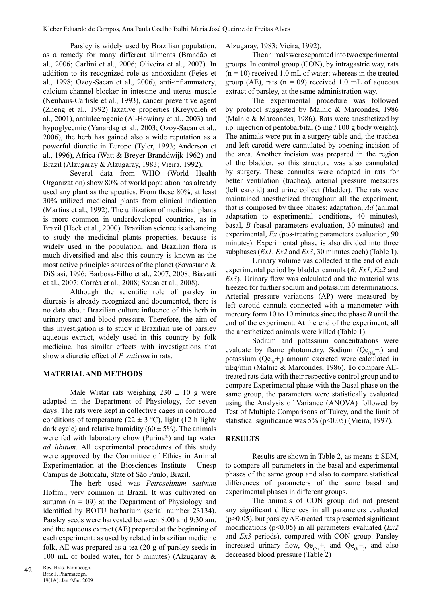Parsley is widely used by Brazilian population, as a remedy for many different ailments (Brandão et al., 2006; Carlini et al., 2006; Oliveira et al., 2007). In addition to its recognized role as antioxidant (Fejes et al., 1998; Ozoy-Sacan et al., 2006), anti-inflammatory, calcium-channel-blocker in intestine and uterus muscle (Neuhaus-Carlisle et al., 1993), cancer preventive agent (Zheng et al., 1992) laxative properties (Kreyydieh et al., 2001), antiulcerogenic (Al-Howinry et al., 2003) and hypoglycemic (Yanardag et al., 2003; Ozoy-Sacan et al., 2006), the herb has gained also a wide reputation as a powerful diuretic in Europe (Tyler, 1993; Anderson et al., 1996), Africa (Watt & Breyer-Branddwijk 1962) and Brazil (Alzugaray & Alzugaray, 1983; Vieira, 1992).

Several data from WHO (World Health Organization) show 80% of world population has already used any plant as therapeutics. From these 80%, at least 30% utilized medicinal plants from clinical indication (Martins et al., 1992). The utilization of medicinal plants is more common in underdeveloped countries, as in Brazil (Heck et al., 2000). Brazilian science is advancing to study the medicinal plants properties, because is widely used in the population, and Brazilian flora is much diversified and also this country is known as the most active principles sources of the planet (Savastano & DiStasi, 1996; Barbosa-Filho et al., 2007, 2008; Biavatti et al., 2007; Corrêa et al., 2008; Sousa et al., 2008).

Although the scientific role of parsley in diuresis is already recognized and documented, there is no data about Brazilian culture influence of this herb in urinary tract and blood pressure. Therefore, the aim of this investigation is to study if Brazilian use of parsley aqueous extract, widely used in this country by folk medicine, has similar effects with investigations that show a diuretic effect of *P. sativum* in rats.

## **MATERIAL AND METHODS**

Male Wistar rats weighing  $230 \pm 10$  g were adapted in the Department of Physiology, for seven days. The rats were kept in collective cages in controlled conditions of temperature (22  $\pm$  3 °C), light (12 h light/ dark cycle) and relative humidity  $(60 \pm 5\%)$ . The animals were fed with laboratory chow (Purina®) and tap water *ad libitum*. All experimental procedures of this study were approved by the Committee of Ethics in Animal Experimentation at the Biosciences Institute - Unesp Campus de Botucatu, State of São Paulo, Brazil.

The herb used was *Petroselinum sativum* Hoffm., very common in Brazil. It was cultivated on autumn  $(n = 09)$  at the Department of Physiology and identified by BOTU herbarium (serial number 23134). Parsley seeds were harvested between 8:00 and 9:30 am, and the aqueous extract (AE) prepared at the beginning of each experiment: as used by related in brazilian medicine folk, AE was prepared as a tea (20 g of parsley seeds in 100 mL of boiled water, for 5 minutes) (Alzugaray &

Alzugaray, 1983; Vieira, 1992).

The animals were separated into two experimental groups. In control group (CON), by intragastric way, rats  $(n = 10)$  received 1.0 mL of water; whereas in the treated group (AE), rats ( $n = 09$ ) received 1.0 mL of aqueous extract of parsley, at the same administration way.

The experimental procedure was followed by protocol suggested by Malnic & Marcondes, 1986 (Malnic & Marcondes, 1986). Rats were anesthetized by i.p. injection of pentobarbital (5 mg / 100 g body weight). The animals were put in a surgery table and, the trachea and left carotid were cannulated by opening incision of the area. Another incision was prepared in the region of the bladder, so this structure was also cannulated by surgery. These cannulas were adapted in rats for better ventilation (trachea), arterial pressure measures (left carotid) and urine collect (bladder). The rats were maintained anesthetized throughout all the experiment, that is composed by three phases: adaptation, *Ad* (animal adaptation to experimental conditions, 40 minutes), basal, *B* (basal parameters evaluation, 30 minutes) and experimental, *Ex* (pos-treating parameters evaluation, 90 minutes). Experimental phase is also divided into three subphases (*Ex1*, *Ex2* and *Ex3*, 30 minutes each) (Table 1).

Urinary volume vas collected at the end of each experimental period by bladder cannula (*B*, *Ex1*, *Ex2* and *Ex3*). Urinary flow was calculated and the material was freezed for further sodium and potassium determinations. Arterial pressure variations (AP) were measured by left carotid cannula connected with a manometer with mercury form 10 to 10 minutes since the phase *B* until the end of the experiment. At the end of the experiment, all the anesthetized animals were killed (Table 1).

Sodium and potassium concentrations were evaluate by flame photometry. Sodium  $(Qe_{(Na^+)})$  and potassium  $(Qe_{(K^+)})$  amount excreted were calculated in uEq/min (Malnic & Marcondes, 1986). To compare AEtreated rats data with their respective control group and to compare Experimental phase with the Basal phase on the same group, the parameters were statistically evaluated using the Analysis of Variance (ANOVA) followed by Test of Multiple Comparisons of Tukey, and the limit of statistical significance was 5% (p<0.05) (Vieira, 1997).

## **RESULTS**

Results are shown in Table 2, as means  $\pm$  SEM, to compare all parameters in the basal and experimental phases of the same group and also to compare statistical differences of parameters of the same basal and experimental phases in different groups.

The animals of CON group did not present any significant differences in all parameters evaluated  $(p>0.05)$ , but parsley AE-treated rats presented significant modifications (p<0.05) in all parameters evaluated (*Ex2* and *Ex3* periods), compared with CON group. Parsley increased urinary flow,  $Qe_{(Na^+)}$  and  $Qe_{(K^+)}$ , and also decreased blood pressure (Table 2)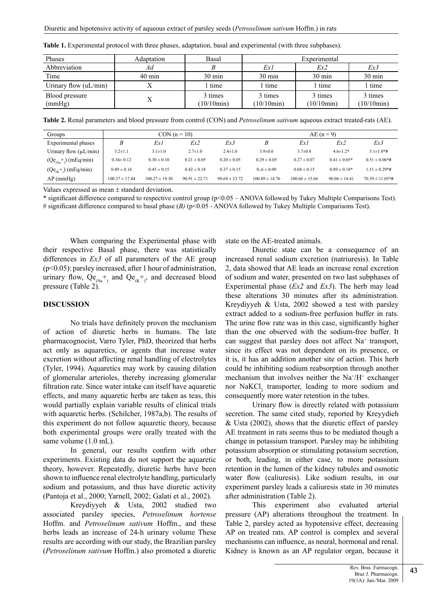| Phases                   | Adaptation       | Basal                 | Experimental                         |                       |                       |  |
|--------------------------|------------------|-----------------------|--------------------------------------|-----------------------|-----------------------|--|
| Abbreviation             | Ad               |                       | Ex 1                                 | Ex2                   | Ex3                   |  |
| Time                     | $40 \text{ min}$ | $30 \text{ min}$      | $30 \text{ min}$<br>$30 \text{ min}$ |                       | $30 \text{ min}$      |  |
| Urinary flow $(uL/min)$  |                  | time                  | time                                 | l time                | time                  |  |
| Blood pressure<br>(mmHg) | Х                | 3 times<br>(10/10min) | 3 times<br>(10/10min)                | 3 times<br>(10/10min) | 3 times<br>(10/10min) |  |

**Table 1.** Experimental protocol with three phases, adaptation, basal and experimental (with three subphases).

**Table 2.** Renal parameters and blood pressure from control (CON) and *Petroselinum sativum* aqueous extract treated-rats (AE).

| Groups                     | $CON (n = 10)$     |                    |                   |                   | $AE (n = 9)$       |                    |                   |                      |
|----------------------------|--------------------|--------------------|-------------------|-------------------|--------------------|--------------------|-------------------|----------------------|
| Experimental phases        | B                  | Ex1                | Ex2               | Ex3               | B                  | Ex 1               | Ex2               | Ex3                  |
| Urinary flow $(\mu L/min)$ | $3.2 \pm 1.1$      | $3.1 \pm 1.0$      | $2.7 \pm 1.0$     | $2.4 \pm 1.0$     | $39\pm0.6$         | $3.7 \pm 0.8$      | $4.6 \pm 1.2*$    | $51\pm1.0*$ #        |
| $(Qe_{Na}^+)(mEq/min)$     | $0.34 \pm 0.12$    | $0.30 \pm 0.10$    | $0.21 \pm 0.05$   | $0.20 \pm 0.05$   | $0.29 \pm 0.05$    | $0.27 \pm 0.07$    | $0.41 \pm 0.05*$  | $0.51 \pm 0.06*$ #   |
| $(Qe_{(K}^+)$ (mEq/min)    | $0.49 \pm 0.16$    | $0.45 \pm 0.15$    | $0.42 \pm 0.18$   | $0.37 \pm 0.15$   | $0.6 \pm 0.09$     | $0.68 \pm 0.15$    | $0.89 \pm 0.18*$  | $1.51 \pm 0.29$ *#   |
| $AP$ (mmHg)                | $100.37 \pm 17.44$ | $100.27 \pm 19.30$ | $90.91 \pm 22.71$ | $90.69 \pm 23.72$ | $100.89 \pm 14.76$ | $100.66 \pm 15.66$ | $90.04 \pm 14.41$ | $70.39 \pm 11.05*$ # |

Values expressed as mean ± standard deviation.

\* significant difference compared to respective control group (p<0.05 – ANOVA followed by Tukey Multiple Comparisons Test). # significant difference compared to basal phase (*B)* (p<0.05 - ANOVA followed by Tukey Multiple Comparisons Test).

When comparing the Experimental phase with their respective Basal phase, there was statistically differences in *Ex3* of all parameters of the AE group (p<0.05): parsley increased, after 1 hour of administration, urinary flow,  $Qe_{(Na)}^+$  and  $Qe_{(K)}^+$ , and decreased blood pressure (Table 2).

# **DISCUSSION**

No trials have definitely proven the mechanism of action of diuretic herbs in humans. The late pharmacognocist, Varro Tyler, PhD, theorized that herbs act only as aquaretics, or agents that increase water excretion without affecting renal handling of electrolytes (Tyler, 1994). Aquaretics may work by causing dilation of glomerular arterioles, thereby increasing glomerular filtration rate. Since water intake can itself have aquaretic effects, and many aquaretic herbs are taken as teas, this would partially explain variable results of clinical trials with aquaretic herbs. (Schilcher, 1987a,b). The results of this experiment do not follow aquaretic theory, because both experimental groups were orally treated with the same volume (1.0 mL).

In general, our results confirm with other experiments. Existing data do not support the aquaretic theory, however. Repeatedly, diuretic herbs have been shown to influence renal electrolyte handling, particularly sodium and potassium, and thus have diuretic activity (Pantoja et al., 2000; Yarnell, 2002; Galati et al., 2002).

Kreydiyyeh & Usta, 2002 studied two associated parsley species, *Petroselinum hortense* Hoffm. and *Petroselinum sativum* Hoffm., and these herbs leads an increase of 24-h urinary volume These results are according with our study, the Brazilian parsley (*Petroselinum sativum* Hoffm.) also promoted a diuretic state on the AE-treated animals.

Diuretic state can be a consequence of an increased renal sodium excretion (natriuresis). In Table 2, data showed that AE leads an increase renal excretion of sodium and water, presented on two last subphases of Experimental phase (*Ex2* and *Ex3*). The herb may lead these alterations 30 minutes after its administration. Kreydiyyeh & Usta, 2002 showed a test with parsley extract added to a sodium-free perfusion buffer in rats. The urine flow rate was in this case, significantly higher than the one observed with the sodium-free buffer. It can suggest that parsley does not affect Na<sup>+</sup> transport, since its effect was not dependent on its presence, or it is, it has an addition another site of action. This herb could be inhibiting sodium reabsorption through another mechanism that involves neither the  $Na^+/H^+$  exchanger nor NaKCl<sub>2</sub> transporter, leading to more sodium and consequently more water retention in the tubes.

Urinary flow is directly related with potassium secretion. The same cited study, reported by Kreyydieh & Usta (2002), shows that the diuretic effect of parsley AE treatment in rats seems thus to be mediated though a change in potassium transport. Parsley may be inhibiting potassium absorption or stimulating potassium secretion, or both, leading, in either case, to more potassium retention in the lumen of the kidney tubules and osmotic water flow (caliuresis). Like sodium results, in our experiment parsley leads a caliuresis state in 30 minutes after administration (Table 2).

This experiment also evaluated arterial pressure (AP) alterations throughout the treatment. In Table 2, parsley acted as hypotensive effect, decreasing AP on treated rats. AP control is complex and several mechanisms can influence, as neural, hormonal and renal. Kidney is known as an AP regulator organ, because it

43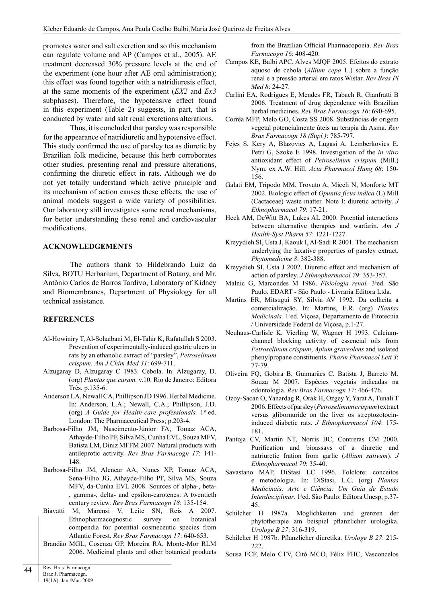promotes water and salt excretion and so this mechanism can regulate volume and AP (Campos et al., 2005). AE treatment decreased 30% pressure levels at the end of the experiment (one hour after AE oral administration); this effect was found together with a natridiuresis effect, at the same moments of the experiment (*EX2* and *Ex3* subphases). Therefore, the hypotensive effect found in this experiment (Table 2) suggests, in part, that is conducted by water and salt renal excretions alterations.

Thus, it is concluded that parsley was responsible for the appearance of natridiuretic and hypotensive effect. This study confirmed the use of parsley tea as diuretic by Brazilian folk medicine, because this herb corroborates other studies, presenting renal and pressure alterations, confirming the diuretic effect in rats. Although we do not yet totally understand which active principle and its mechanism of action causes these effects, the use of animal models suggest a wide variety of possibilities. Our laboratory still investigates some renal mechanisms, for better understanding these renal and cardiovascular modifications.

#### **ACKNOWLEDGEMENTS**

The authors thank to Hildebrando Luiz da Silva, BOTU Herbarium, Department of Botany, and Mr. Antônio Carlos de Barros Tardivo, Laboratory of Kidney and Biomembranes, Department of Physiology for all technical assistance.

### **REFERENCES**

- Al-Howiniry T, Al-Sohaibani M, El-Tahir K, Rafatullah S 2003. Prevention of experimentally-induced gastric ulcers in rats by an ethanolic extract of "parsley", *Petroselinum crispum*. *Am J Chim Med 31*: 699-711.
- Alzugaray D, Alzugaray C 1983. Cebola. In: Alzugaray, D. (org) *Plantas que curam.* v.10. Rio de Janeiro: Editora Três, p.135-6.
- Anderson LA, Newall CA, Phillipson JD 1996. Herbal Medicine. In: Anderson, L.A.; Newall, C.A.; Phillipson, J.D. (org) *A Guide for Health-care professionals.* 1st ed. London: The Pharmaceutical Press; p.203-4.
- Barbosa-Filho JM, Nascimento-Júnior FA, Tomaz ACA, Athayde-Filho PF, Silva MS, Cunha EVL, Souza MFV, Batista LM, Diniz MFFM 2007. Natural products with antileprotic activity. *Rev Bras Farmacogn 17*: 141- 148.
- Barbosa-Filho JM, Alencar AA, Nunes XP, Tomaz ACA, Sena-Filho JG, Athayde-Filho PF, Silva MS, Souza MFV, da-Cunha EVL 2008. Sources of alpha-, beta- , gamma-, delta- and epsilon-carotenes: A twentieth century review. *Rev Bras Farmacogn 18*: 135-154.
- Biavatti M, Marensi V, Leite SN, Reis A 2007. Ethnopharmacognostic survey on botanical compendia for potential cosmeceutic species from Atlantic Forest. *Rev Bras Farmacogn 17*: 640-653.
- Brandão MGL, Cosenza GP, Moreira RA, Monte-Mor RLM 2006. Medicinal plants and other botanical products

from the Brazilian Official Pharmacopoeia. *Rev Bras Farmacogn 16*: 408-420.

- Campos KE, Balbi APC, Alves MJQF 2005. Efeitos do extrato aquoso de cebola (*Allium cepa* L.) sobre a função renal e a pressão arterial em ratos Wistar. *Rev Bras Pl Med 8*: 24-27.
- Carlini EA, Rodrigues E, Mendes FR, Tabach R, Gianfratti B 2006. Treatment of drug dependence with Brazilian herbal medicines. *Rev Bras Farmacogn 16*: 690-695.
- Corrêa MFP, Melo GO, Costa SS 2008. Substâncias de origem vegetal potencialmente úteis na terapia da Asma. *Rev Bras Farmacogn 18 (Supl.)*: 785-797.
- Fejes S, Kery A, Blazovics A, Lugasi A, Lemberkovics E, Petri G, Szoke E 1998. Investigation of the *in vitro* antioxidant effect of *Petroselinum crispum* (Mill.) Nym. ex A.W. Hill. *Acta Pharmacol Hung 68*: 150- 156.
- Galati EM, Tripodo MM, Trovato A, Miceli N, Monforte MT 2002*.* Biologic effect of *Opuntia fícus indica* (L) Mill (Cactaceae) waste matter. Note I: diuretic activity. *J Ethnopharmacol 79*: 17-21.
- Heck AM, DeWitt BA, Lukes AL 2000. Potential interactions between alternative therapies and warfarin. *Am J Health-Syst Pharm 57*: 1221-1227.
- Kreyydieh SI, Usta J, Kaouk I, Al-Sadi R 2001. The mechanism underlying the laxative properties of parsley extract. *Phytomedicine 8*: 382-388.
- Kreyydieh SI, Usta J 2002. Diuretic effect and mechanism of action of parsley. *J Ethnopharmacol 79*: 353-357.
- Malnic G, Marcondes M 1986. Fisiologia renal. 3<sup>ª</sup>ed. São Paulo. EDART - São Paulo - Livraria Editora Ltda.
- Martins ER, Mitsugui SY, Silvia AV 1992. Da colheita a comercialização. In: Martins, E.R. (org) *Plantas* Medicinais. 1ªed. Viçosa, Departamento de Fitotecnia / Universidade Federal de Viçosa, p.1-27.
- Neuhaus-Carlisle K, Vierling W, Wagner H 1993. Calciumchannel blocking activity of essencial oils from *Petroselinum crispum*, *Apium graveolens* and isolated phenylpropane constituents. *Pharm Pharmacol Lett 3*: 77-79.
- Oliveira FQ, Gobira B, Guimarães C, Batista J, Barreto M, Souza M 2007. Espécies vegetais indicadas na odontologia. *Rev Bras Farmacogn 17*: 466-476.
- Ozoy-Sacan O, Yanardag R, Orak H, Ozgey Y, Yarat A, Tunali T 2006. Effects of parsley (*Petroselimumcrispum*) extract versus glibornuride on the liver os streptozotocininduced diabetic rats. *J Ethnopharmacol 104*: 175- 181.
- Pantoja CV, Martin NT, Norris BC, Contreras CM 2000. Purification and bioassays of a diuretic and natriuretic fration from garlic (*Allium sativum*). *J Ethnopharmacol 70*: 35-40.
- Savastano MAP, DiStasi LC 1996. Folclore: conceitos e metodologia. In: DiStasi, L.C. (org) *Plantas Medicinais: Arte e Ciência: Um Guia de Estudo* Interdisciplinar. 1ªed. São Paulo: Editora Unesp, p.37-45.
- Schilcher H 1987a. Moglichkeiten und grenzen der phytotherapie am beispiel pflanzlicher urologika. *Urologe B 27*: 316-319.
- Schilcher H 1987b. Pflanzlicher diuretika. *Urologe B 27*: 215- 222.
- Sousa FCF, Melo CTV, Citó MCO, Félix FHC, Vasconcelos